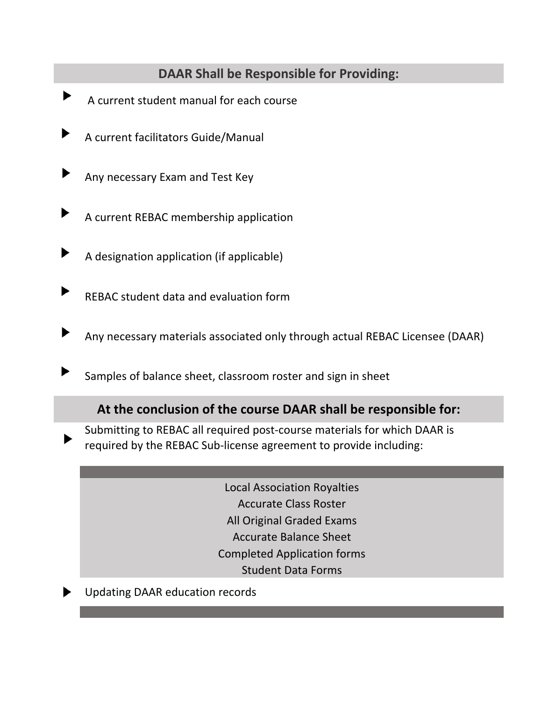## **DAAR Shall be Responsible for Providing:**

- A current student manual for each course
- A current facilitators Guide/Manual
- Any necessary Exam and Test Key
- A current REBAC membership application
- A designation application (if applicable)
- REBAC student data and evaluation form
- Any necessary materials associated only through actual REBAC Licensee (DAAR)
	- Samples of balance sheet, classroom roster and sign in sheet

## **At the conclusion of the course DAAR shall be responsible for:**

- Submitting to REBAC all required post‐course materials for which DAAR is required by the REBAC Sub‐license agreement to provide including:
	- Local Association Royalties Accurate Class Roster All Original Graded Exams Accurate Balance Sheet Completed Application forms Student Data Forms
- Updating DAAR education records

 $\blacktriangleright$